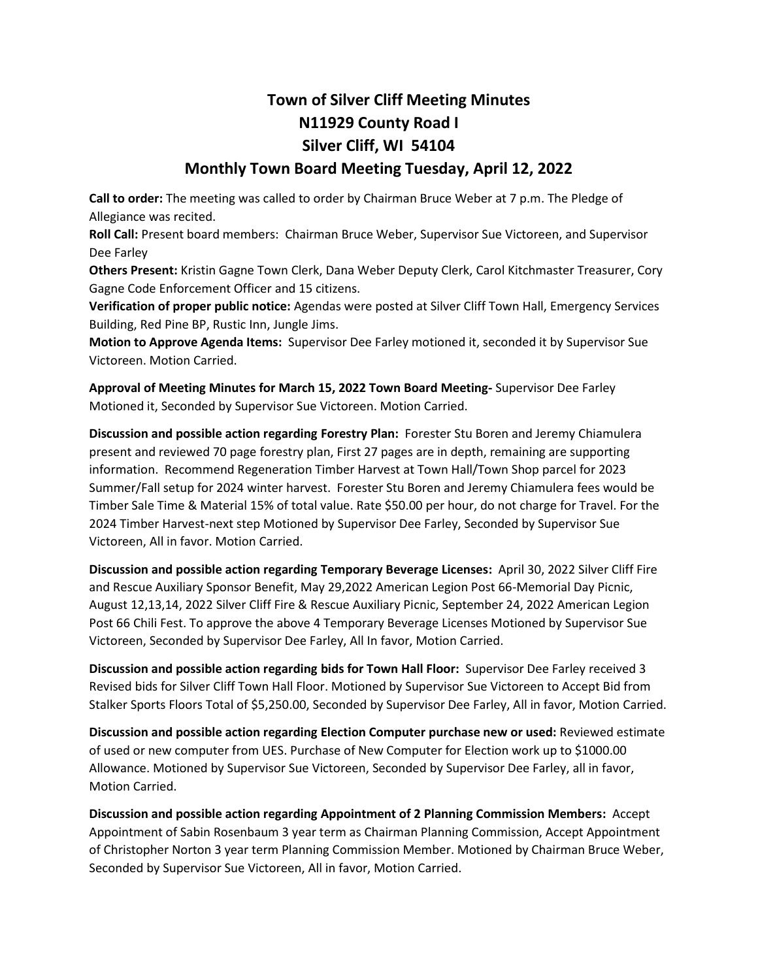## **Town of Silver Cliff Meeting Minutes N11929 County Road I Silver Cliff, WI 54104**

## **Monthly Town Board Meeting Tuesday, April 12, 2022**

**Call to order:** The meeting was called to order by Chairman Bruce Weber at 7 p.m. The Pledge of Allegiance was recited.

**Roll Call:** Present board members: Chairman Bruce Weber, Supervisor Sue Victoreen, and Supervisor Dee Farley

**Others Present:** Kristin Gagne Town Clerk, Dana Weber Deputy Clerk, Carol Kitchmaster Treasurer, Cory Gagne Code Enforcement Officer and 15 citizens.

**Verification of proper public notice:** Agendas were posted at Silver Cliff Town Hall, Emergency Services Building, Red Pine BP, Rustic Inn, Jungle Jims.

**Motion to Approve Agenda Items:** Supervisor Dee Farley motioned it, seconded it by Supervisor Sue Victoreen. Motion Carried.

**Approval of Meeting Minutes for March 15, 2022 Town Board Meeting-** Supervisor Dee Farley Motioned it, Seconded by Supervisor Sue Victoreen. Motion Carried.

**Discussion and possible action regarding Forestry Plan:** Forester Stu Boren and Jeremy Chiamulera present and reviewed 70 page forestry plan, First 27 pages are in depth, remaining are supporting information. Recommend Regeneration Timber Harvest at Town Hall/Town Shop parcel for 2023 Summer/Fall setup for 2024 winter harvest. Forester Stu Boren and Jeremy Chiamulera fees would be Timber Sale Time & Material 15% of total value. Rate \$50.00 per hour, do not charge for Travel. For the 2024 Timber Harvest-next step Motioned by Supervisor Dee Farley, Seconded by Supervisor Sue Victoreen, All in favor. Motion Carried.

**Discussion and possible action regarding Temporary Beverage Licenses:** April 30, 2022 Silver Cliff Fire and Rescue Auxiliary Sponsor Benefit, May 29,2022 American Legion Post 66-Memorial Day Picnic, August 12,13,14, 2022 Silver Cliff Fire & Rescue Auxiliary Picnic, September 24, 2022 American Legion Post 66 Chili Fest. To approve the above 4 Temporary Beverage Licenses Motioned by Supervisor Sue Victoreen, Seconded by Supervisor Dee Farley, All In favor, Motion Carried.

**Discussion and possible action regarding bids for Town Hall Floor:** Supervisor Dee Farley received 3 Revised bids for Silver Cliff Town Hall Floor. Motioned by Supervisor Sue Victoreen to Accept Bid from Stalker Sports Floors Total of \$5,250.00, Seconded by Supervisor Dee Farley, All in favor, Motion Carried.

**Discussion and possible action regarding Election Computer purchase new or used:** Reviewed estimate of used or new computer from UES. Purchase of New Computer for Election work up to \$1000.00 Allowance. Motioned by Supervisor Sue Victoreen, Seconded by Supervisor Dee Farley, all in favor, Motion Carried.

**Discussion and possible action regarding Appointment of 2 Planning Commission Members:** Accept Appointment of Sabin Rosenbaum 3 year term as Chairman Planning Commission, Accept Appointment of Christopher Norton 3 year term Planning Commission Member. Motioned by Chairman Bruce Weber, Seconded by Supervisor Sue Victoreen, All in favor, Motion Carried.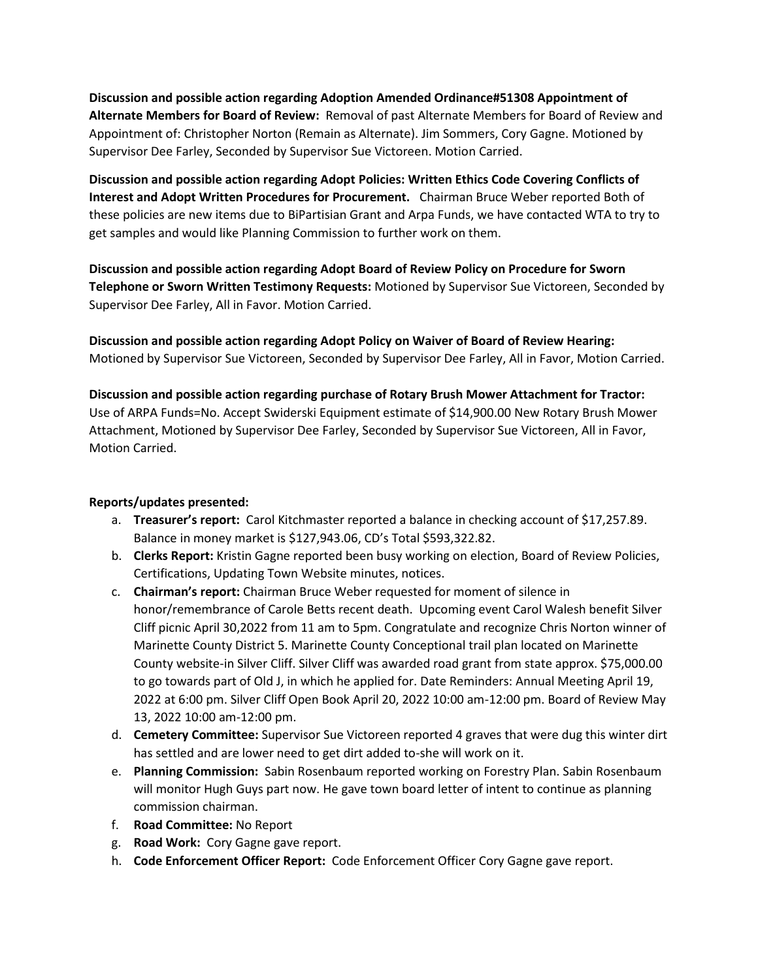**Discussion and possible action regarding Adoption Amended Ordinance#51308 Appointment of Alternate Members for Board of Review:** Removal of past Alternate Members for Board of Review and Appointment of: Christopher Norton (Remain as Alternate). Jim Sommers, Cory Gagne. Motioned by Supervisor Dee Farley, Seconded by Supervisor Sue Victoreen. Motion Carried.

**Discussion and possible action regarding Adopt Policies: Written Ethics Code Covering Conflicts of Interest and Adopt Written Procedures for Procurement.** Chairman Bruce Weber reported Both of these policies are new items due to BiPartisian Grant and Arpa Funds, we have contacted WTA to try to get samples and would like Planning Commission to further work on them.

**Discussion and possible action regarding Adopt Board of Review Policy on Procedure for Sworn Telephone or Sworn Written Testimony Requests:** Motioned by Supervisor Sue Victoreen, Seconded by Supervisor Dee Farley, All in Favor. Motion Carried.

**Discussion and possible action regarding Adopt Policy on Waiver of Board of Review Hearing:** Motioned by Supervisor Sue Victoreen, Seconded by Supervisor Dee Farley, All in Favor, Motion Carried.

**Discussion and possible action regarding purchase of Rotary Brush Mower Attachment for Tractor:**  Use of ARPA Funds=No. Accept Swiderski Equipment estimate of \$14,900.00 New Rotary Brush Mower Attachment, Motioned by Supervisor Dee Farley, Seconded by Supervisor Sue Victoreen, All in Favor, Motion Carried.

## **Reports/updates presented:**

- a. **Treasurer's report:** Carol Kitchmaster reported a balance in checking account of \$17,257.89. Balance in money market is \$127,943.06, CD's Total \$593,322.82.
- b. **Clerks Report:** Kristin Gagne reported been busy working on election, Board of Review Policies, Certifications, Updating Town Website minutes, notices.
- c. **Chairman's report:** Chairman Bruce Weber requested for moment of silence in honor/remembrance of Carole Betts recent death. Upcoming event Carol Walesh benefit Silver Cliff picnic April 30,2022 from 11 am to 5pm. Congratulate and recognize Chris Norton winner of Marinette County District 5. Marinette County Conceptional trail plan located on Marinette County website-in Silver Cliff. Silver Cliff was awarded road grant from state approx. \$75,000.00 to go towards part of Old J, in which he applied for. Date Reminders: Annual Meeting April 19, 2022 at 6:00 pm. Silver Cliff Open Book April 20, 2022 10:00 am-12:00 pm. Board of Review May 13, 2022 10:00 am-12:00 pm.
- d. **Cemetery Committee:** Supervisor Sue Victoreen reported 4 graves that were dug this winter dirt has settled and are lower need to get dirt added to-she will work on it.
- e. **Planning Commission:** Sabin Rosenbaum reported working on Forestry Plan. Sabin Rosenbaum will monitor Hugh Guys part now. He gave town board letter of intent to continue as planning commission chairman.
- f. **Road Committee:** No Report
- g. **Road Work:** Cory Gagne gave report.
- h. **Code Enforcement Officer Report:** Code Enforcement Officer Cory Gagne gave report.